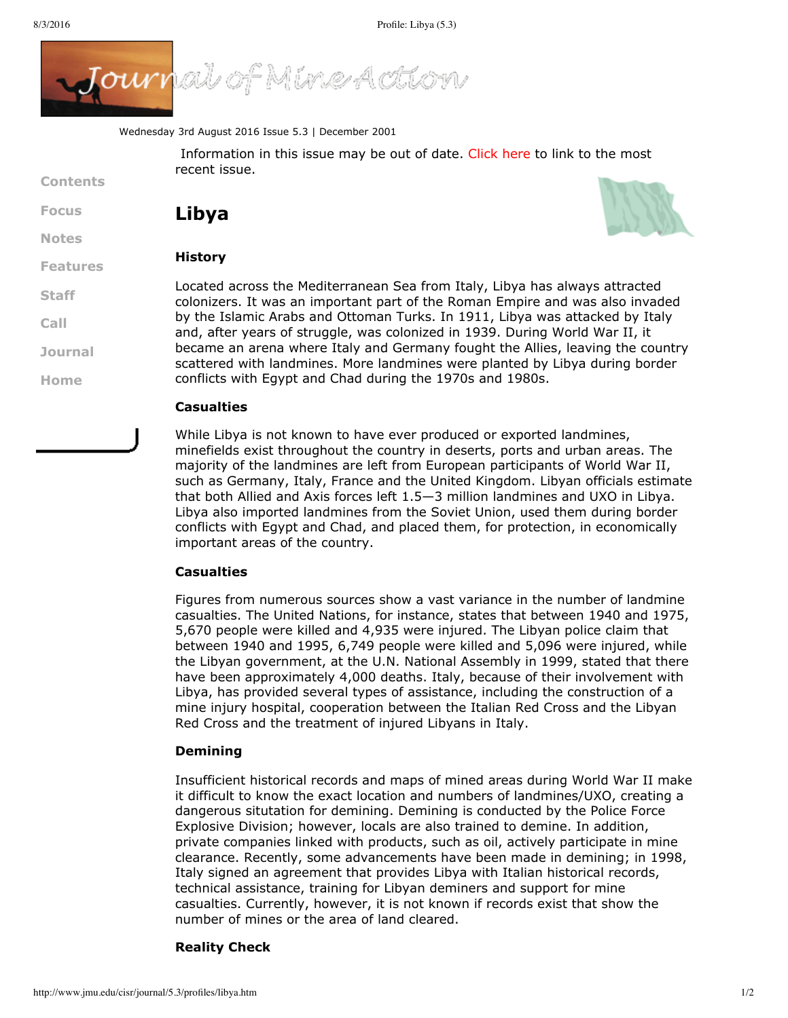

Wednesday 3rd August 2016 Issue 5.3 | December 2001

Information in this issue may be out of date. [Click](http://www.jmu.edu/cisr/journal/current.shtml) here to link to the most recent issue.

# **[Focus](http://www.jmu.edu/cisr/journal/5.3/index.htm#focus)**

**Contents**

**[Notes](http://www.jmu.edu/cisr/journal/5.3/index.htm#notes)**

### **[Features](http://www.jmu.edu/cisr/journal/5.3/index.htm#feature)**

**[Staff](http://www.jmu.edu/cisr/staff/index.shtml) [Call](http://www.jmu.edu/cisr/journal/cfps.shtml)**

**[Journal](http://www.jmu.edu/cisr/journal/past-issues.shtml)**

**[Home](http://www.jmu.edu/cisr/journal/5.3/index.htm)**

# **Casualties**

**Libya**

**History**

While Libya is not known to have ever produced or exported landmines, minefields exist throughout the country in deserts, ports and urban areas. The majority of the landmines are left from European participants of World War II, such as Germany, Italy, France and the United Kingdom. Libyan officials estimate that both Allied and Axis forces left 1.5—3 million landmines and UXO in Libya. Libya also imported landmines from the Soviet Union, used them during border conflicts with Egypt and Chad, and placed them, for protection, in economically important areas of the country.

# **Casualties**

Figures from numerous sources show a vast variance in the number of landmine casualties. The United Nations, for instance, states that between 1940 and 1975, 5,670 people were killed and 4,935 were injured. The Libyan police claim that between 1940 and 1995, 6,749 people were killed and 5,096 were injured, while the Libyan government, at the U.N. National Assembly in 1999, stated that there have been approximately 4,000 deaths. Italy, because of their involvement with Libya, has provided several types of assistance, including the construction of a mine injury hospital, cooperation between the Italian Red Cross and the Libyan Red Cross and the treatment of injured Libyans in Italy.

#### **Demining**

Insufficient historical records and maps of mined areas during World War II make it difficult to know the exact location and numbers of landmines/UXO, creating a dangerous situtation for demining. Demining is conducted by the Police Force Explosive Division; however, locals are also trained to demine. In addition, private companies linked with products, such as oil, actively participate in mine clearance. Recently, some advancements have been made in demining; in 1998, Italy signed an agreement that provides Libya with Italian historical records, technical assistance, training for Libyan deminers and support for mine casualties. Currently, however, it is not known if records exist that show the number of mines or the area of land cleared.

#### **Reality Check**





and, after years of struggle, was colonized in 1939. During World War II, it became an arena where Italy and Germany fought the Allies, leaving the country scattered with landmines. More landmines were planted by Libya during border

conflicts with Egypt and Chad during the 1970s and 1980s.